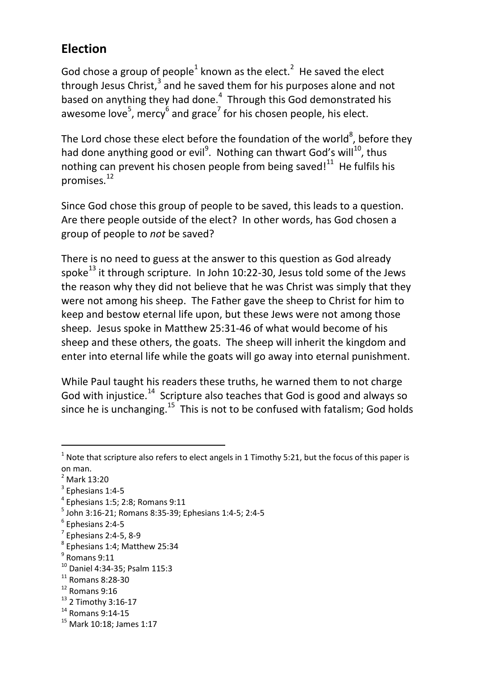## **Election**

God chose a group of people<sup>1</sup> known as the elect.<sup>2</sup> He saved the elect through Jesus Christ, $3$  and he saved them for his purposes alone and not based on anything they had done. $<sup>4</sup>$  Through this God demonstrated his</sup> awesome love<sup>5</sup>, mercy<sup>6</sup> and grace<sup>7</sup> for his chosen people, his elect.

The Lord chose these elect before the foundation of the world<sup>8</sup>, before they had done anything good or evil<sup>9</sup>. Nothing can thwart God's will<sup>10</sup>, thus nothing can prevent his chosen people from being saved! $11$  He fulfils his promises.<sup>12</sup>

Since God chose this group of people to be saved, this leads to a question. Are there people outside of the elect? In other words, has God chosen a group of people to *not* be saved?

There is no need to guess at the answer to this question as God already spoke<sup>13</sup> it through scripture. In John 10:22-30, Jesus told some of the Jews the reason why they did not believe that he was Christ was simply that they were not among his sheep. The Father gave the sheep to Christ for him to keep and bestow eternal life upon, but these Jews were not among those sheep. Jesus spoke in Matthew 25:31-46 of what would become of his sheep and these others, the goats. The sheep will inherit the kingdom and enter into eternal life while the goats will go away into eternal punishment.

While Paul taught his readers these truths, he warned them to not charge God with injustice.<sup>14</sup> Scripture also teaches that God is good and always so since he is unchanging.<sup>15</sup> This is not to be confused with fatalism; God holds

 $\overline{a}$ 

 $<sup>4</sup>$  Ephesians 1:5; 2:8; Romans 9:11</sup>

<sup>&</sup>lt;sup>1</sup> Note that scripture also refers to elect angels in 1 Timothy 5:21, but the focus of this paper is on man.

<sup>2</sup> Mark 13:20

<sup>&</sup>lt;sup>3</sup> Ephesians 1:4-5

<sup>5</sup> John 3:16-21; Romans 8:35-39; Ephesians 1:4-5; 2:4-5

<sup>6</sup> Ephesians 2:4-5

 $<sup>7</sup>$  Ephesians 2:4-5, 8-9</sup>

 $^8$  Ephesians 1:4; Matthew 25:34

<sup>&</sup>lt;sup>9</sup> Romans 9:11

<sup>10</sup> Daniel 4:34-35; Psalm 115:3

 $11$  Romans 8:28-30

 $12$  Romans 9:16

<sup>13</sup> 2 Timothy 3:16-17

<sup>14</sup> Romans 9:14-15

<sup>15</sup> Mark 10:18; James 1:17